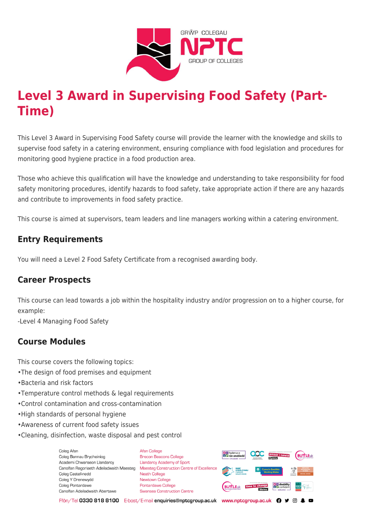

# **Level 3 Award in Supervising Food Safety (Part-Time)**

This Level 3 Award in Supervising Food Safety course will provide the learner with the knowledge and skills to supervise food safety in a catering environment, ensuring compliance with food legislation and procedures for monitoring good hygiene practice in a food production area.

Those who achieve this qualification will have the knowledge and understanding to take responsibility for food safety monitoring procedures, identify hazards to food safety, take appropriate action if there are any hazards and contribute to improvements in food safety practice.

This course is aimed at supervisors, team leaders and line managers working within a catering environment.

## **Entry Requirements**

You will need a Level 2 Food Safety Certificate from a recognised awarding body.

## **Career Prospects**

This course can lead towards a job within the hospitality industry and/or progression on to a higher course, for example:

-Level 4 Managing Food Safety

## **Course Modules**

This course covers the following topics:

- •The design of food premises and equipment
- •Bacteria and risk factors
- •Temperature control methods & legal requirements
- •Control contamination and cross-contamination
- •High standards of personal hygiene
- •Awareness of current food safety issues
- •Cleaning, disinfection, waste disposal and pest control

Coleg Afar Coleg Bannau Brycheiniog Academi Chwaraeon Llandarcy Canolfan Ragoriaeth Adeiladwaith Maesteg Coleg Castell-nedd Coleg Y Drenewydd Coleg Pontardawe Canolfan Adeiladwaith Abertawe

**Afan College** Brecon Beacons College **Llandarcy Academy of Sport** Maesteg Construction Centre of Excellence Neath College Newtown College Pontardawe College Swansea Construction Centre



Ffôn/Tel 0330 818 8100 E-bost/E-mail enquiries@nptcgroup.ac.uk www.nptcgroup.ac.uk ? • © \$